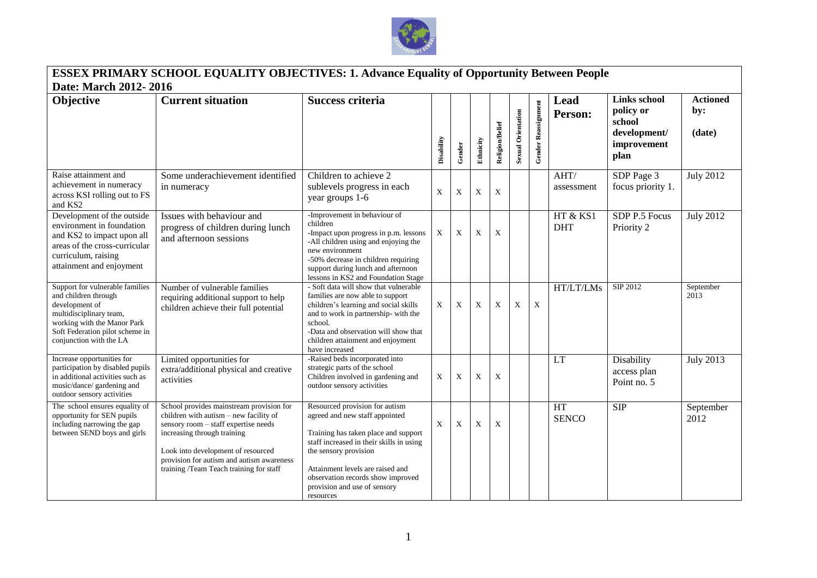

## **ESSEX PRIMARY SCHOOL EQUALITY OBJECTIVES: 1. Advance Equality of Opportunity Between People Date: March 2012- 2016**

| Date: March 2012- 2016                                                                                                                                                                            |                                                                                                                                                                                                                                                                                         |                                                                                                                                                                                                                                                                                                     |             |             |           |                           |                           |                     |                        |                                                                            |                                  |
|---------------------------------------------------------------------------------------------------------------------------------------------------------------------------------------------------|-----------------------------------------------------------------------------------------------------------------------------------------------------------------------------------------------------------------------------------------------------------------------------------------|-----------------------------------------------------------------------------------------------------------------------------------------------------------------------------------------------------------------------------------------------------------------------------------------------------|-------------|-------------|-----------|---------------------------|---------------------------|---------------------|------------------------|----------------------------------------------------------------------------|----------------------------------|
| Objective                                                                                                                                                                                         | <b>Current situation</b>                                                                                                                                                                                                                                                                | <b>Success criteria</b>                                                                                                                                                                                                                                                                             | Disability  | Gender      | Ethnicity | Religion/Belief           | <b>Sexual Orientation</b> | Gender Reassignment | Lead<br>Person:        | Links school<br>policy or<br>school<br>development/<br>improvement<br>plan | <b>Actioned</b><br>by:<br>(date) |
| Raise attainment and<br>achievement in numeracy<br>across KSI rolling out to FS<br>and KS2                                                                                                        | Some underachievement identified<br>in numeracy                                                                                                                                                                                                                                         | Children to achieve 2<br>sublevels progress in each<br>year groups 1-6                                                                                                                                                                                                                              | $\mathbf X$ | $\mathbf X$ | X         | $\boldsymbol{\mathrm{X}}$ |                           |                     | AHT/<br>assessment     | SDP Page 3<br>focus priority 1.                                            | <b>July 2012</b>                 |
| Development of the outside<br>environment in foundation<br>and KS2 to impact upon all<br>areas of the cross-curricular<br>curriculum, raising<br>attainment and enjoyment                         | Issues with behaviour and<br>progress of children during lunch<br>and afternoon sessions                                                                                                                                                                                                | -Improvement in behaviour of<br>children<br>-Impact upon progress in p.m. lessons<br>-All children using and enjoying the<br>new environment<br>-50% decrease in children requiring<br>support during lunch and afternoon<br>lessons in KS2 and Foundation Stage                                    | X           | X           | X         | X                         |                           |                     | HT & KS1<br><b>DHT</b> | SDP P.5 Focus<br>Priority 2                                                | <b>July 2012</b>                 |
| Support for vulnerable families<br>and children through<br>development of<br>multidisciplinary team,<br>working with the Manor Park<br>Soft Federation pilot scheme in<br>conjunction with the LA | Number of vulnerable families<br>requiring additional support to help<br>children achieve their full potential                                                                                                                                                                          | - Soft data will show that vulnerable<br>families are now able to support<br>children's learning and social skills<br>and to work in partnership- with the<br>school.<br>-Data and observation will show that<br>children attainment and enjoyment<br>have increased                                | $\mathbf X$ | $\mathbf X$ | X         | X                         | X                         | X                   | HT/LT/LMs              | SIP 2012                                                                   | September<br>2013                |
| Increase opportunities for<br>participation by disabled pupils<br>in additional activities such as<br>music/dance/ gardening and<br>outdoor sensory activities                                    | Limited opportunities for<br>extra/additional physical and creative<br>activities                                                                                                                                                                                                       | -Raised beds incorporated into<br>strategic parts of the school<br>Children involved in gardening and<br>outdoor sensory activities                                                                                                                                                                 | $\mathbf X$ | X           | X         | X                         |                           |                     | <b>LT</b>              | Disability<br>access plan<br>Point no. 5                                   | <b>July 2013</b>                 |
| The school ensures equality of<br>opportunity for SEN pupils<br>including narrowing the gap<br>between SEND boys and girls                                                                        | School provides mainstream provision for<br>children with autism - new facility of<br>sensory room - staff expertise needs<br>increasing through training<br>Look into development of resourced<br>provision for autism and autism awareness<br>training /Team Teach training for staff | Resourced provision for autism<br>agreed and new staff appointed<br>Training has taken place and support<br>staff increased in their skills in using<br>the sensory provision<br>Attainment levels are raised and<br>observation records show improved<br>provision and use of sensory<br>resources | X           | X           | X         | X                         |                           |                     | HT<br><b>SENCO</b>     | <b>SIP</b>                                                                 | September<br>2012                |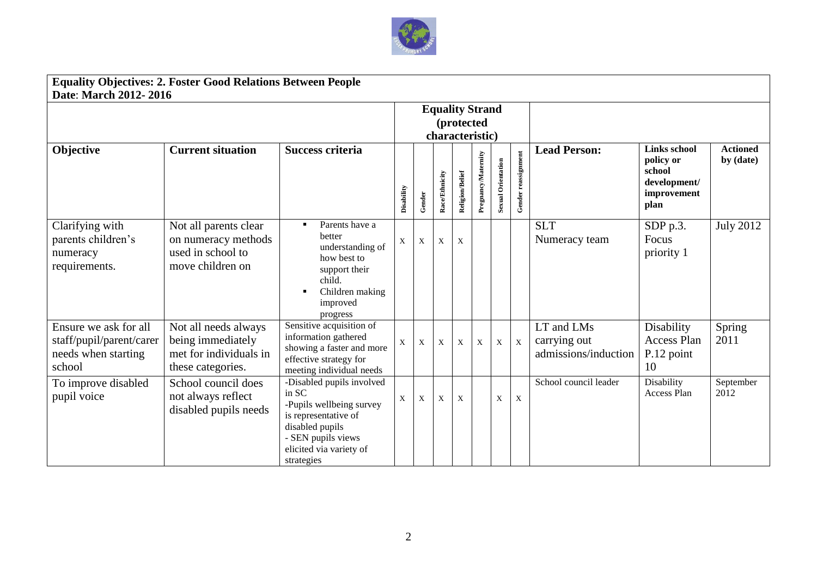

## **Equality Objectives: 2. Foster Good Relations Between People Date**: **March 2012- 2016**

| Date: March 2012- 2016                                                             |                                                                                          |                                                                                                                                                                          |                                                         |              |                |                 |                     |                    |                     |                                                    |                                                                                   |                              |
|------------------------------------------------------------------------------------|------------------------------------------------------------------------------------------|--------------------------------------------------------------------------------------------------------------------------------------------------------------------------|---------------------------------------------------------|--------------|----------------|-----------------|---------------------|--------------------|---------------------|----------------------------------------------------|-----------------------------------------------------------------------------------|------------------------------|
|                                                                                    |                                                                                          |                                                                                                                                                                          | <b>Equality Strand</b><br>(protected<br>characteristic) |              |                |                 |                     |                    |                     |                                                    |                                                                                   |                              |
| Objective                                                                          | <b>Current situation</b>                                                                 | <b>Success criteria</b>                                                                                                                                                  | Disability                                              | Gender       | Race/Ethnicity | Religion/Belief | Pregnancy/Maternity | Sexual Orientation | Gender reassignment | <b>Lead Person:</b>                                | <b>Links school</b><br>policy or<br>school<br>development/<br>improvement<br>plan | <b>Actioned</b><br>by (date) |
| Clarifying with<br>parents children's<br>numeracy<br>requirements.                 | Not all parents clear<br>on numeracy methods<br>used in school to<br>move children on    | Parents have a<br>better<br>understanding of<br>how best to<br>support their<br>child.<br>Children making<br>improved<br>progress                                        | X                                                       | $\mathbf{X}$ | $\mathbf{X}$   | $\mathbf X$     |                     |                    |                     | <b>SLT</b><br>Numeracy team                        | SDP p.3.<br>Focus<br>priority 1                                                   | <b>July 2012</b>             |
| Ensure we ask for all<br>staff/pupil/parent/carer<br>needs when starting<br>school | Not all needs always<br>being immediately<br>met for individuals in<br>these categories. | Sensitive acquisition of<br>information gathered<br>showing a faster and more<br>effective strategy for<br>meeting individual needs                                      | $\mathbf{X}$                                            | $\mathbf X$  | X              | $\mathbf{X}$    | $\mathbf X$         | $\mathbf X$        | $\mathbf X$         | LT and LMs<br>carrying out<br>admissions/induction | Disability<br>Access Plan<br>P.12 point<br>10                                     | Spring<br>2011               |
| To improve disabled<br>pupil voice                                                 | School council does<br>not always reflect<br>disabled pupils needs                       | -Disabled pupils involved<br>in SC<br>-Pupils wellbeing survey<br>is representative of<br>disabled pupils<br>- SEN pupils views<br>elicited via variety of<br>strategies | X                                                       | $\mathbf X$  | X              | $\mathbf{X}$    |                     | $\mathbf X$        | $\mathbf X$         | School council leader                              | Disability<br>Access Plan                                                         | September<br>2012            |